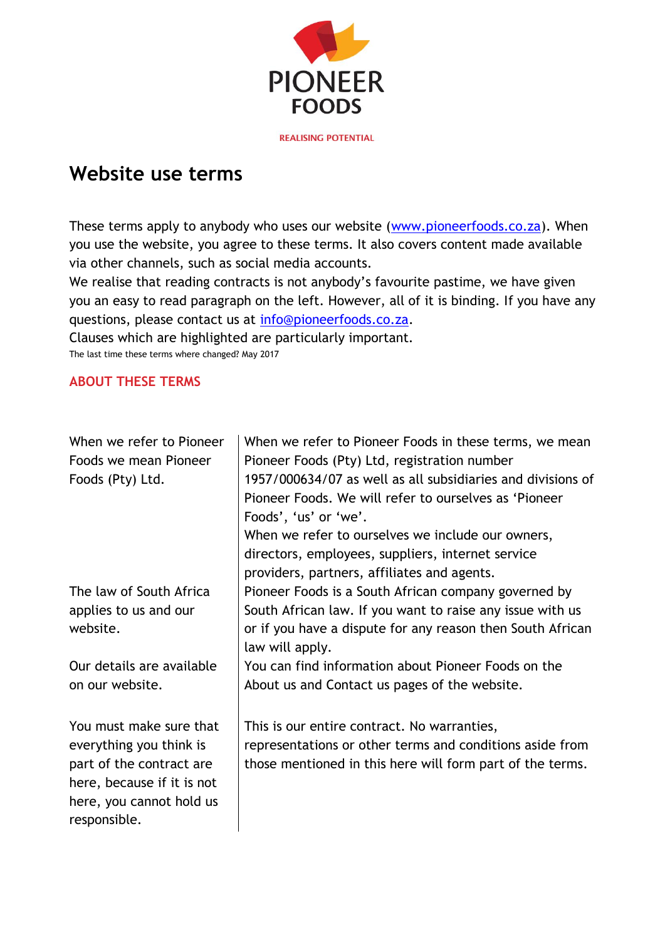

# **Website use terms**

These terms apply to anybody who uses our website [\(www.pioneerfoods.co.za\)](http://www.pioneerfoods.co.za/). When you use the website, you agree to these terms. It also covers content made available via other channels, such as social media accounts.

We realise that reading contracts is not anybody's favourite pastime, we have given you an easy to read paragraph on the left. However, all of it is binding. If you have any questions, please contact us at [info@pioneerfoods.co.za.](mailto:info@pioneerfoods.co.za)

Clauses which are highlighted are particularly important. The last time these terms where changed? May 2017

#### **ABOUT THESE TERMS**

| When we refer to Pioneer   | When we refer to Pioneer Foods in these terms, we mean      |
|----------------------------|-------------------------------------------------------------|
| Foods we mean Pioneer      | Pioneer Foods (Pty) Ltd, registration number                |
| Foods (Pty) Ltd.           | 1957/000634/07 as well as all subsidiaries and divisions of |
|                            | Pioneer Foods. We will refer to ourselves as 'Pioneer       |
|                            | Foods', 'us' or 'we'.                                       |
|                            | When we refer to ourselves we include our owners,           |
|                            | directors, employees, suppliers, internet service           |
|                            | providers, partners, affiliates and agents.                 |
| The law of South Africa    | Pioneer Foods is a South African company governed by        |
| applies to us and our      | South African law. If you want to raise any issue with us   |
| website.                   | or if you have a dispute for any reason then South African  |
|                            | law will apply.                                             |
| Our details are available  | You can find information about Pioneer Foods on the         |
| on our website.            | About us and Contact us pages of the website.               |
|                            |                                                             |
| You must make sure that    | This is our entire contract. No warranties,                 |
| everything you think is    | representations or other terms and conditions aside from    |
| part of the contract are   | those mentioned in this here will form part of the terms.   |
| here, because if it is not |                                                             |
| here, you cannot hold us   |                                                             |
| responsible.               |                                                             |
|                            |                                                             |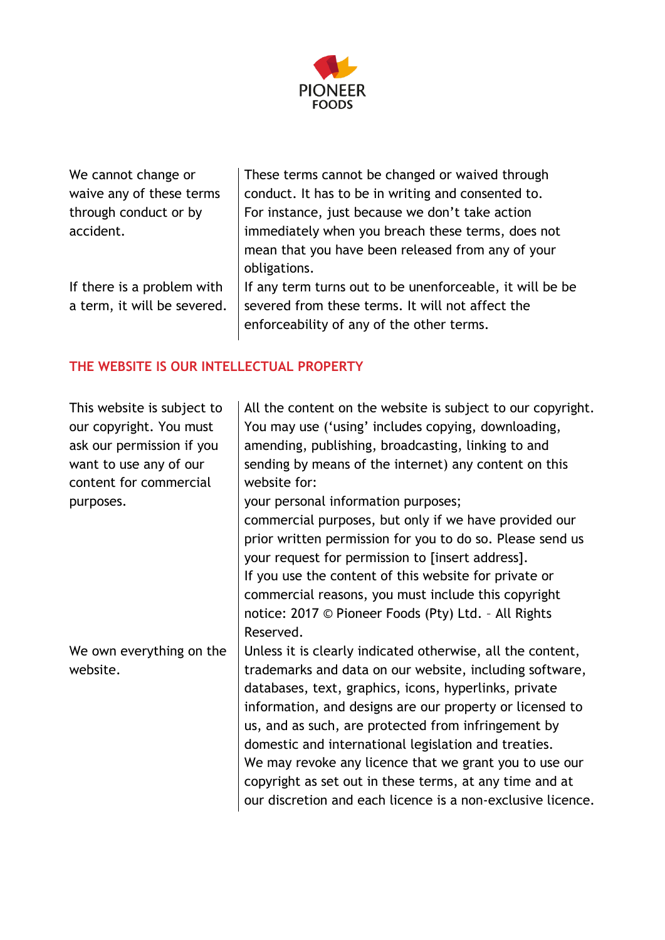

| We cannot change or         | These terms cannot be changed or waived through          |
|-----------------------------|----------------------------------------------------------|
| waive any of these terms    | conduct. It has to be in writing and consented to.       |
| through conduct or by       | For instance, just because we don't take action          |
| accident.                   | immediately when you breach these terms, does not        |
|                             | mean that you have been released from any of your        |
|                             | obligations.                                             |
| If there is a problem with  | If any term turns out to be unenforceable, it will be be |
| a term, it will be severed. | severed from these terms. It will not affect the         |
|                             | enforceability of any of the other terms.                |
|                             |                                                          |

## **THE WEBSITE IS OUR INTELLECTUAL PROPERTY**

| This website is subject to<br>our copyright. You must<br>ask our permission if you<br>want to use any of our<br>content for commercial<br>purposes. | All the content on the website is subject to our copyright.<br>You may use ('using' includes copying, downloading,<br>amending, publishing, broadcasting, linking to and<br>sending by means of the internet) any content on this<br>website for:<br>your personal information purposes;                                                                                                                                                                                                                                                      |
|-----------------------------------------------------------------------------------------------------------------------------------------------------|-----------------------------------------------------------------------------------------------------------------------------------------------------------------------------------------------------------------------------------------------------------------------------------------------------------------------------------------------------------------------------------------------------------------------------------------------------------------------------------------------------------------------------------------------|
|                                                                                                                                                     | commercial purposes, but only if we have provided our<br>prior written permission for you to do so. Please send us<br>your request for permission to [insert address].<br>If you use the content of this website for private or<br>commercial reasons, you must include this copyright<br>notice: 2017 © Pioneer Foods (Pty) Ltd. - All Rights<br>Reserved.                                                                                                                                                                                   |
| We own everything on the<br>website.                                                                                                                | Unless it is clearly indicated otherwise, all the content,<br>trademarks and data on our website, including software,<br>databases, text, graphics, icons, hyperlinks, private<br>information, and designs are our property or licensed to<br>us, and as such, are protected from infringement by<br>domestic and international legislation and treaties.<br>We may revoke any licence that we grant you to use our<br>copyright as set out in these terms, at any time and at<br>our discretion and each licence is a non-exclusive licence. |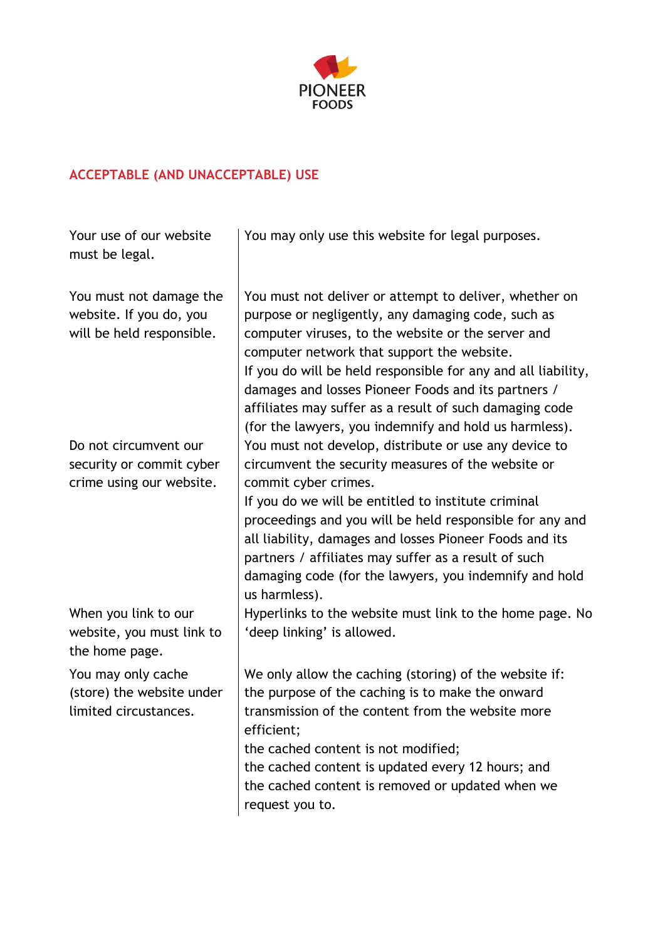

## **ACCEPTABLE (AND UNACCEPTABLE) USE**

| Your use of our website<br>must be legal.                                       | You may only use this website for legal purposes.                                                                                                                                                                                                                                                                                                                                                                                                             |
|---------------------------------------------------------------------------------|---------------------------------------------------------------------------------------------------------------------------------------------------------------------------------------------------------------------------------------------------------------------------------------------------------------------------------------------------------------------------------------------------------------------------------------------------------------|
| You must not damage the<br>website. If you do, you<br>will be held responsible. | You must not deliver or attempt to deliver, whether on<br>purpose or negligently, any damaging code, such as<br>computer viruses, to the website or the server and<br>computer network that support the website.<br>If you do will be held responsible for any and all liability,<br>damages and losses Pioneer Foods and its partners /<br>affiliates may suffer as a result of such damaging code<br>(for the lawyers, you indemnify and hold us harmless). |
| Do not circumvent our                                                           | You must not develop, distribute or use any device to                                                                                                                                                                                                                                                                                                                                                                                                         |
| security or commit cyber<br>crime using our website.                            | circumvent the security measures of the website or<br>commit cyber crimes.                                                                                                                                                                                                                                                                                                                                                                                    |
|                                                                                 | If you do we will be entitled to institute criminal<br>proceedings and you will be held responsible for any and<br>all liability, damages and losses Pioneer Foods and its<br>partners / affiliates may suffer as a result of such<br>damaging code (for the lawyers, you indemnify and hold<br>us harmless).                                                                                                                                                 |
| When you link to our<br>website, you must link to<br>the home page.             | Hyperlinks to the website must link to the home page. No<br>'deep linking' is allowed.                                                                                                                                                                                                                                                                                                                                                                        |
| You may only cache<br>(store) the website under<br>limited circustances.        | We only allow the caching (storing) of the website if:<br>the purpose of the caching is to make the onward<br>transmission of the content from the website more<br>efficient;<br>the cached content is not modified;<br>the cached content is updated every 12 hours; and<br>the cached content is removed or updated when we<br>request you to.                                                                                                              |
|                                                                                 |                                                                                                                                                                                                                                                                                                                                                                                                                                                               |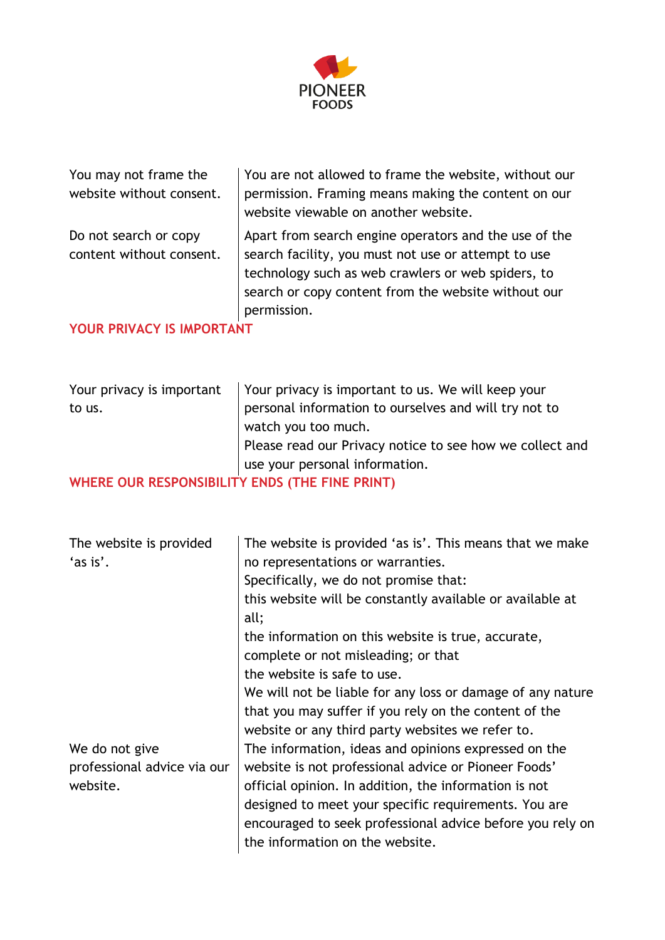

| You may not frame the<br>website without consent. | You are not allowed to frame the website, without our<br>permission. Framing means making the content on our<br>website viewable on another website.                                                                                     |
|---------------------------------------------------|------------------------------------------------------------------------------------------------------------------------------------------------------------------------------------------------------------------------------------------|
| Do not search or copy<br>content without consent. | Apart from search engine operators and the use of the<br>search facility, you must not use or attempt to use<br>technology such as web crawlers or web spiders, to<br>search or copy content from the website without our<br>permission. |
| YOUR PRIVACY IS IMPORTANT                         |                                                                                                                                                                                                                                          |

| Your privacy is important                      | Your privacy is important to us. We will keep your       |
|------------------------------------------------|----------------------------------------------------------|
| to us.                                         | personal information to ourselves and will try not to    |
|                                                | watch you too much.                                      |
|                                                | Please read our Privacy notice to see how we collect and |
|                                                | use your personal information.                           |
| WHERE OUR RESPONSIBILITY FNDS (THE FINE PRINT) |                                                          |

**WHERE OUR RESPONSIBILITY ENDS (THE FINE PRINT)**

| The website is provided     | The website is provided 'as is'. This means that we make   |
|-----------------------------|------------------------------------------------------------|
| 'as is'.                    | no representations or warranties.                          |
|                             | Specifically, we do not promise that:                      |
|                             | this website will be constantly available or available at  |
|                             | all;                                                       |
|                             | the information on this website is true, accurate,         |
|                             | complete or not misleading; or that                        |
|                             | the website is safe to use.                                |
|                             | We will not be liable for any loss or damage of any nature |
|                             | that you may suffer if you rely on the content of the      |
|                             | website or any third party websites we refer to.           |
| We do not give              | The information, ideas and opinions expressed on the       |
| professional advice via our | website is not professional advice or Pioneer Foods'       |
| website.                    | official opinion. In addition, the information is not      |
|                             | designed to meet your specific requirements. You are       |
|                             | encouraged to seek professional advice before you rely on  |
|                             | the information on the website.                            |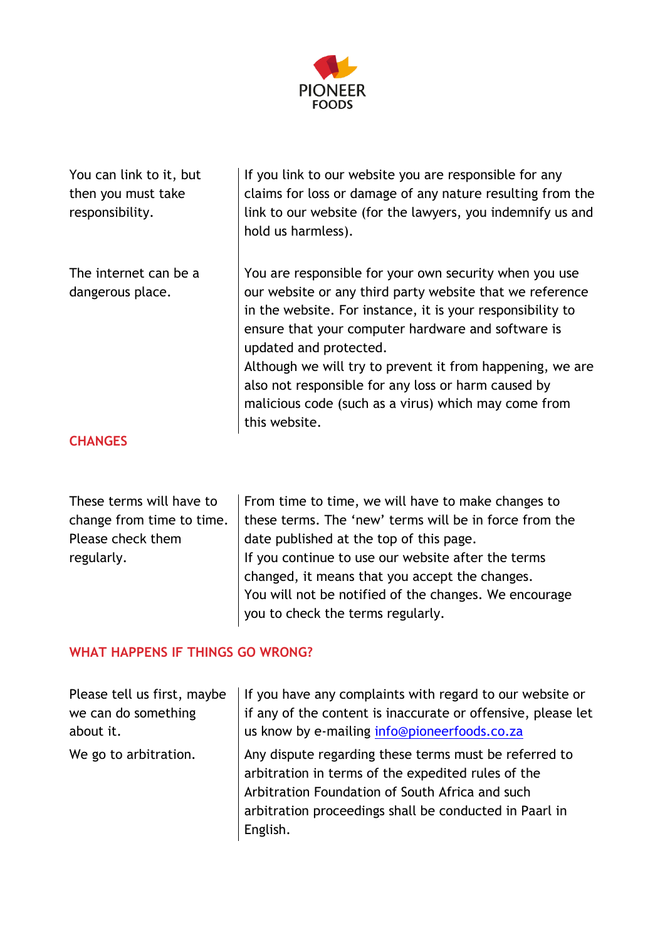

| You can link to it, but<br>then you must take<br>responsibility. | If you link to our website you are responsible for any<br>claims for loss or damage of any nature resulting from the<br>link to our website (for the lawyers, you indemnify us and<br>hold us harmless).                                                         |
|------------------------------------------------------------------|------------------------------------------------------------------------------------------------------------------------------------------------------------------------------------------------------------------------------------------------------------------|
| The internet can be a<br>dangerous place.                        | You are responsible for your own security when you use<br>our website or any third party website that we reference<br>in the website. For instance, it is your responsibility to<br>ensure that your computer hardware and software is<br>updated and protected. |
|                                                                  | Although we will try to prevent it from happening, we are<br>also not responsible for any loss or harm caused by<br>malicious code (such as a virus) which may come from<br>this website.                                                                        |
| <b>CHANGES</b>                                                   |                                                                                                                                                                                                                                                                  |

#### **CHANGES**

| These terms will have to<br>change from time to time.<br>Please check them<br>regularly. | From time to time, we will have to make changes to<br>these terms. The 'new' terms will be in force from the<br>date published at the top of this page.<br>If you continue to use our website after the terms<br>changed, it means that you accept the changes.<br>You will not be notified of the changes. We encourage |
|------------------------------------------------------------------------------------------|--------------------------------------------------------------------------------------------------------------------------------------------------------------------------------------------------------------------------------------------------------------------------------------------------------------------------|
|                                                                                          | you to check the terms regularly.                                                                                                                                                                                                                                                                                        |

## **WHAT HAPPENS IF THINGS GO WRONG?**

| Please tell us first, maybe | If you have any complaints with regard to our website or                                                                                                                                                                             |
|-----------------------------|--------------------------------------------------------------------------------------------------------------------------------------------------------------------------------------------------------------------------------------|
| we can do something         | if any of the content is inaccurate or offensive, please let                                                                                                                                                                         |
| about it.                   | us know by e-mailing info@pioneerfoods.co.za                                                                                                                                                                                         |
| We go to arbitration.       | Any dispute regarding these terms must be referred to<br>arbitration in terms of the expedited rules of the<br>Arbitration Foundation of South Africa and such<br>arbitration proceedings shall be conducted in Paarl in<br>English. |